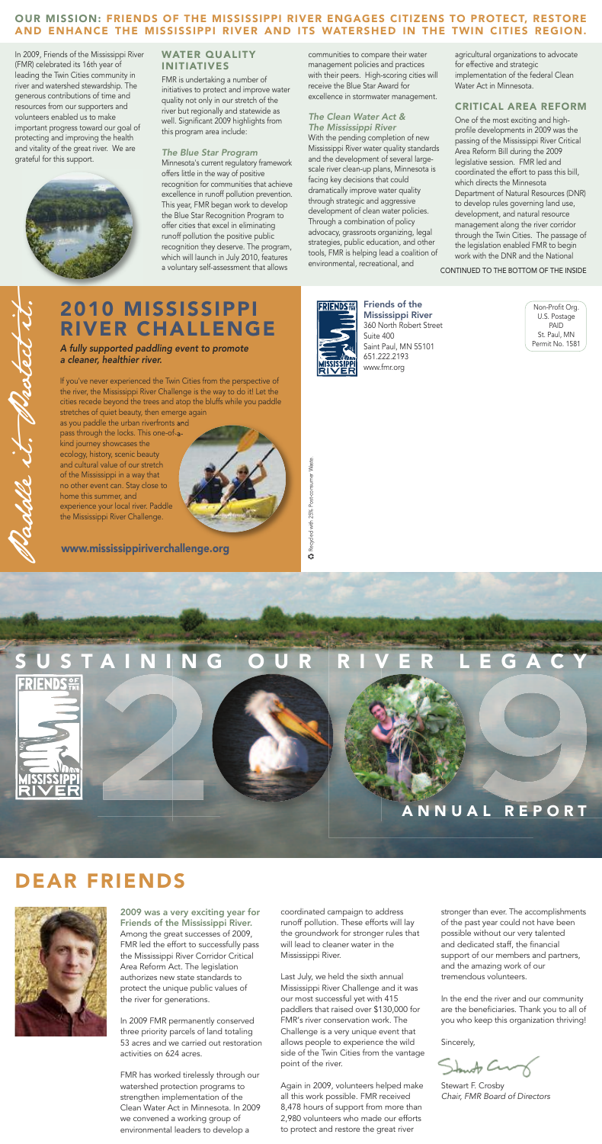Paddle





**C** Recycled with 25% Post-consumer Waste.



## **A N N U A L R E P O R T**

2009 was a very exciting year for Friends of the Mississippi River. Among the great successes of 2009, FMR led the effort to successfully pass the Mississippi River Corridor Critical Area Reform Act. The legislation authorizes new state standards to protect the unique public values of the river for generations.

In 2009 FMR permanently conserved three priority parcels of land totaling 53 acres and we carried out restoration activities on 624 acres.

FMR has worked tirelessly through our watershed protection programs to strengthen implementation of the Clean Water Act in Minnesota. In 2009 we convened a working group of environmental leaders to develop a

coordinated campaign to address runoff pollution. These efforts will lay the groundwork for stronger rules that will lead to cleaner water in the Mississippi River.

Last July, we held the sixth annual Mississippi River Challenge and it was our most successful yet with 415 paddlers that raised over \$130,000 for FMR's river conservation work. The Challenge is a very unique event that allows people to experience the wild side of the Twin Cities from the vantage point of the river.

Again in 2009, volunteers helped make all this work possible. FMR received 8,478 hours of support from more than 2,980 volunteers who made our efforts to protect and restore the great river

stronger than ever. The accomplishments of the past year could not have been possible without our very talented and dedicated staff, the financial support of our members and partners, and the amazing work of our tremendous volunteers.

In the end the river and our community are the beneficiaries. Thank you to all of you who keep this organization thriving!

Sincerely,

Standy Com

Stewart F. Crosby *Chair, FMR Board of Directors*

## **DEAR FRIENDS**



Friends of the Mississippi River 360 North Robert Street Suite 400 Saint Paul, MN 55101 651.222.2193 www.fmr.org

Non-Profit Org. U.S. Postage PAID St. Paul, MN Permit No. 1581

# **2010 MISSISSIPPI RIVER CHALLENGE**

*A fully supported paddling event to promote a cleaner, healthier river.*

If you've never experienced the Twin Cities from the perspective of the river, the Mississippi River Challenge is the way to do it! Let the cities recede beyond the trees and atop the bluffs while you paddle stretches of quiet beauty, then emerge again

as you paddle the urban riverfronts and pass through the locks. This one-of-akind journey showcases the

ecology, history, scenic beauty and cultural value of our stretch of the Mississippi in a way that no other event can. Stay close to home this summer, and experience your local river. Paddle the Mississippi River Challenge.

In 2009, Friends of the Mississippi River (FMR) celebrated its 16th year of leading the Twin Cities community in river and watershed stewardship. The generous contributions of time and resources from our supporters and volunteers enabled us to make important progress toward our goal of protecting and improving the health and vitality of the great river. We are grateful for this support.

## **WATER QUALITY INITIATIVES**

FMR is undertaking a number of initiatives to protect and improve water quality not only in our stretch of the river but regionally and statewide as well. Significant 2009 highlights from this program area include:

*The Blue Star Program* Minnesota's current regulatory framework offers little in the way of positive recognition for communities that achieve excellence in runoff pollution prevention. This year, FMR began work to develop the Blue Star Recognition Program to offer cities that excel in eliminating runoff pollution the positive public recognition they deserve. The program, which will launch in July 2010, features a voluntary self-assessment that allows

communities to compare their water management policies and practices with their peers. High-scoring cities will receive the Blue Star Award for excellence in stormwater management.

#### *The Clean Water Act & The Mississippi River*

With the pending completion of new Mississippi River water quality standards and the development of several largescale river clean-up plans, Minnesota is facing key decisions that could dramatically improve water quality through strategic and aggressive development of clean water policies. Through a combination of policy advocacy, grassroots organizing, legal strategies, public education, and other tools, FMR is helping lead a coalition of environmental, recreational, and

agricultural organizations to advocate for effective and strategic implementation of the federal Clean Water Act in Minnesota.

## **CRITICAL AREA REFORM**

One of the most exciting and highprofile developments in 2009 was the passing of the Mississippi River Critical Area Reform Bill during the 2009 legislative session. FMR led and coordinated the effort to pass this bill, which directs the Minnesota Department of Natural Resources (DNR) to develop rules governing land use, development, and natural resource management along the river corridor through the Twin Cities. The passage of the legislation enabled FMR to begin work with the DNR and the National

## **OUR MISSION: FRIENDS OF THE MISSISSIPPI RIVER ENGAGES CITIZENS TO PROTECT, RESTORE AND ENHANCE THE MISSISSIPPI RIVER AND ITS WATERSHED IN THE TWIN CITIES REGION.**

CONTINUED TO THE BOTTOM OF THE INSIDE